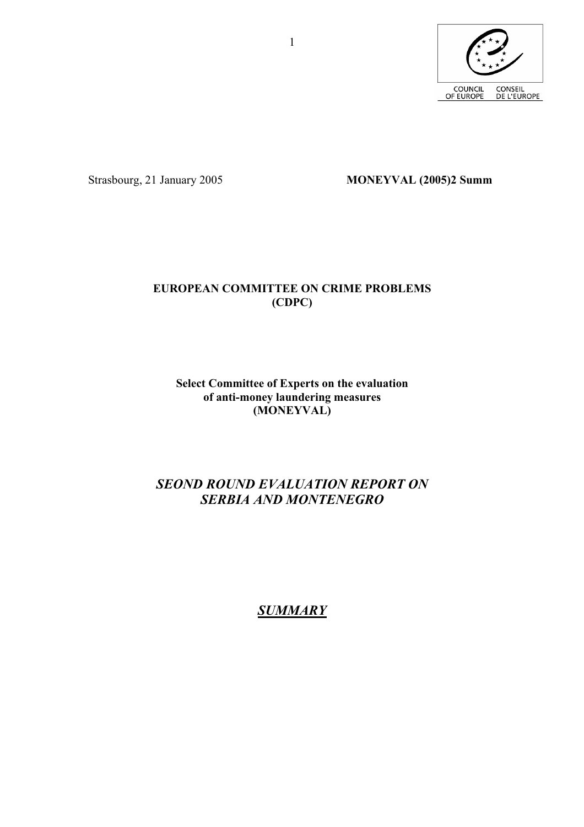

Strasbourg, 21 January 2005 **MONEYVAL (2005)2 Summ** 

## **EUROPEAN COMMITTEE ON CRIME PROBLEMS (CDPC)**

### **Select Committee of Experts on the evaluation of anti-money laundering measures (MONEYVAL)**

# *SEOND ROUND EVALUATION REPORT ON SERBIA AND MONTENEGRO*

# *SUMMARY*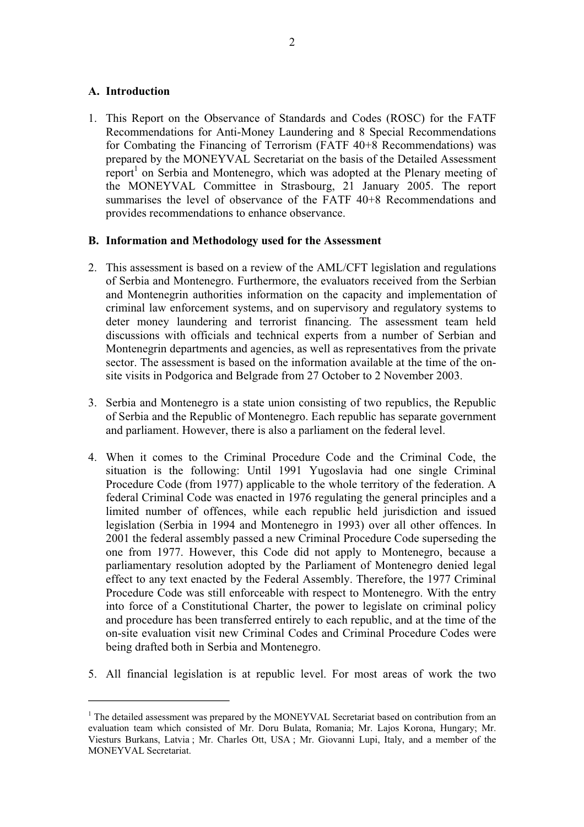#### **A. Introduction**

1. This Report on the Observance of Standards and Codes (ROSC) for the FATF Recommendations for Anti-Money Laundering and 8 Special Recommendations for Combating the Financing of Terrorism (FATF 40+8 Recommendations) was<br>prepared by the MONEYVAL Secretariat on the basis of the Detailed Assessment<br>report<sup>1</sup> on Serbia and Montenegro, which was adopted at the Plenary mee the MONEYVAL Committee in Strasbourg, 21 January 2005. The report summarises the level of observance of the FATF 40+8 Recommendations and provides recommendations to enhance observance.

#### **B. Information and Methodology used for the Assessment**

- 2. This assessment is based on a review of the AML/CFT legislation and regulations of Serbia and Montenegro. Furthermore, the evaluators received from the Serbian and Montenegrin authorities information on the capacity and implementation of criminal law enforcement systems, and on supervisory and regulatory systems to deter money laundering and terrorist financing. The assessment team held<br>discussions with officials and technical experts from a number of Serbian and<br>Montenegrin departments and agencies, as well as representatives from t site visits in Podgorica and Belgrade from 27 October to 2 November 2003.
- 3. Serbia and Montenegro is a state union consisting of two republics, the Republic of Serbia and the Republic of Montenegro. Each republic has separate government and parliament. However, there is also a parliament on the federal level.
- 4. When it comes to the Criminal Procedure Code and the Criminal Code, the situation is the following: Until 1991 Yugoslavia had one single Criminal Procedure Code (from 1977) applicable to the whole territory of the federation. A federal Criminal Code was enacted in 1976 regulating the general principles and a limited number of offences, while each republic held juris legislation (Serbia in 1994 and Montenegro in 1993) over all other offences. In 2001 the federal assembly passed a new Criminal Procedure Code superseding the one from 1977. However, this Code did not apply to Montenegro, Procedure Code was still enforceable with respect to Montenegro. With the entry into force of a Constitutional Charter, the power to legislate on criminal policy and procedure has been transferred entirely to each republic, and at the time of the on-site evaluation visit new Criminal Codes and Criminal Procedure Codes were being drafted both in Serbia and Montenegro.
- 5. All financial legislation is at republic level. For most areas of work the two

<sup>&</sup>lt;sup>1</sup> The detailed assessment was prepared by the MONEYVAL Secretariat based on contribution from an evaluation team which consisted of Mr. Doru Bulata, Romania; Mr. Lajos Korona, Hungary; Mr. Viesturs Burkans, Latvia ; Mr. Charles Ott, USA ; Mr. Giovanni Lupi, Italy, and a member of the MONEYVAL Secretariat.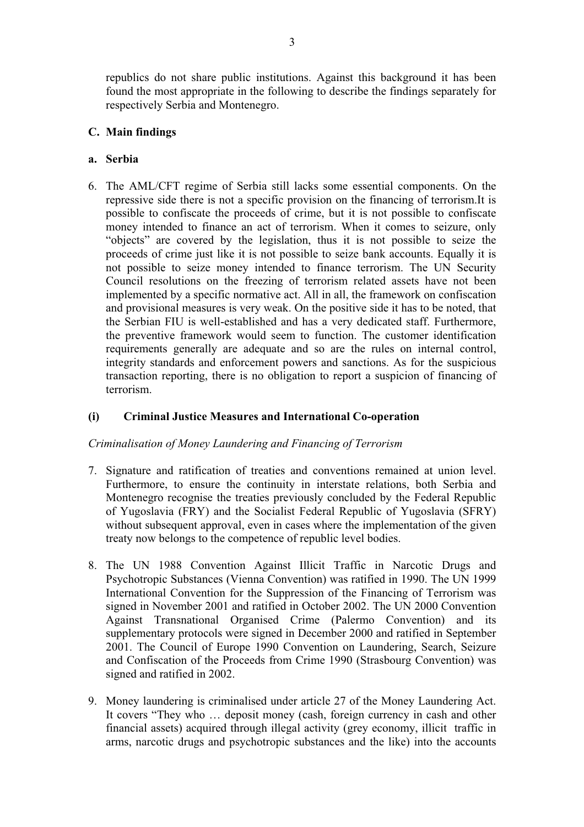republics do not share public institutions. Against this background it has been found the most appropriate in the following to describe the findings separately for respectively Serbia and Montenegro.

### **C. Main findings**

### **a. Serbia**

6. The AML/CFT regime of Serbia still lacks some essential components. On the repressive side there is not a specific provision on the financing of terrorism.It is possible to confiscate the proceeds of crime, but it is not possible to confiscate money intended to finance an act of terrorism. When it comes to seizure, only "objects" are covered by the legislation, thus it is not poss not possible to seize money intended to finance terrorism. The UN Security Council resolutions on the freezing of terrorism related assets have not been implemented by a specific normative act. All in all, the framework on confiscation and provisional measures is very weak. On the positive side it has to be noted, that the Serbian FIU is well-established and has a very dedicated staff. Furthermore, the preventive framework would seem to function. The customer identification requirements generally are adequate and so are the rules on inte integrity standards and enforcement powers and sanctions. As for the suspicious transaction reporting, there is no obligation to report a suspicion of financing of terrorism.

### **(i) Criminal Justice Measures and International Co-operation**

#### *Criminalisation of Money Laundering and Financing of Terrorism*

- 7. Signature and ratification of treaties and conventions remained at union level. Furthermore, to ensure the continuity in interstate relations, both Serbia and Montenegro recognise the treaties previously concluded by the Federal Republic of Yugoslavia (FRY) and the Socialist Federal Republic of Yugoslavia (SFRY) without subsequent approval, even in cases where the implementation of the given treaty now belongs to the competence of republic level bodies.
- 8. The UN 1988 Convention Against Illicit Traffic in Narcotic Drugs and Psychotropic Substances (Vienna Convention) was ratified in 1990. The UN 1999 International Convention for the Suppression of the Financing of Terrorism was signed in November 2001 and ratified in October 2002. The UN 2000 Convention Against Transnational Organised Crime (Palermo Convention) and its supplementary protocols were signed in December 2000 and ratified in September 2001. The Council of Europe 1990 Convention on Laundering, Search, Seizure and Confiscation of the Proceeds from Crime 1990 (Strasbourg Convent signed and ratified in 2002.
- 9. Money laundering is criminalised under article 27 of the Money Laundering Act. It covers "They who … deposit money (cash, foreign currency in cash and other financial assets) acquired through illegal activity (grey economy, illicit traffic in arms, narcotic drugs and psychotropic substances and the like) into the accounts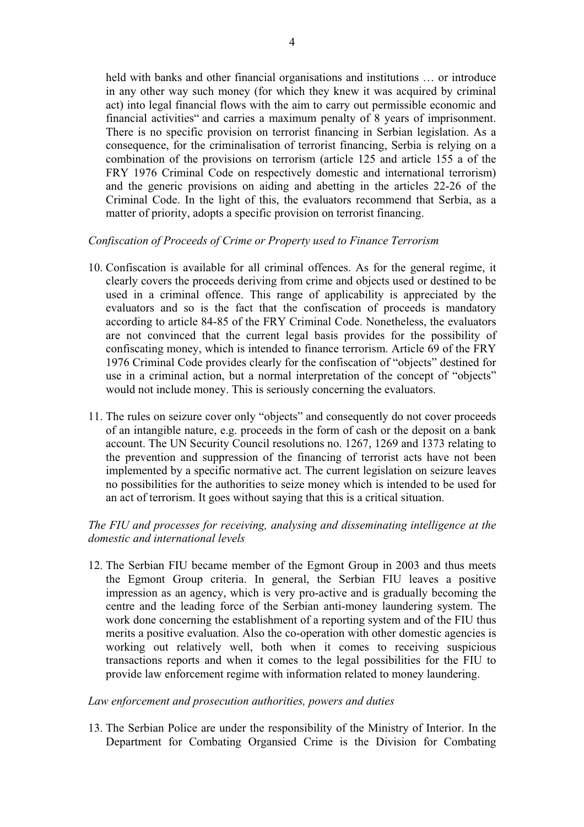held with banks and other financial organisations and institutions ... or introduce in any other way such money (for which they knew it was acquired by criminal act) into legal financial flows with the aim to carry out permissible economic and financial activities" and carries a maximum penalty of 8 years of imprisonment.<br>There is no specific provision on terrorist financing in Se consequence, for the criminalisation of terrorist financing, Serbia is relying on a combination of the provisions on terrorism (article 125 and article 155 a of the FRY 1976 Criminal Code on respectively domestic and inter and the generic provisions on aiding and abetting in the articles 22-26 of the Criminal Code. In the light of this, the evaluators recommend that Serbia, as a matter of priority, adopts a specific provision on terrorist financing.

#### *Confiscation of Proceeds of Crime or Property used to Finance Terrorism*

- 10. Confiscation is available for all criminal offences. As for the general regime, it clearly covers the proceeds deriving from crime and objects used or destined to be used in a criminal offence. This range of applicability is appreciated by the evaluators and so is the fact that the confiscation of procee according to article 84-85 of the FRY Criminal Code. Nonetheless, the evaluators<br>are not convinced that the current legal basis provides for the possibility of<br>confiscating money, which is intended to finance terrorism. Ar use in a criminal action, but a normal interpretation of the concept of "objects" would not include money. This is seriously concerning the evaluators.
- 11. The rules on seizure cover only "objects" and consequently do not cover proceeds of an intangible nature, e.g. proceeds in the form of cash or the deposit on a bank account. The UN Security Council resolutions no. 1267, 1269 and 1373 relating to the prevention and suppression of the financing of terrorist acts have not been<br>implemented by a specific normative act. The current legislation on seizure leaves<br>no possibilities for the authorities to seize money which i an act of terrorism. It goes without saying that this is a critical situation.

### *The FIU and processes for receiving, analysing and disseminating intelligence at the domestic and international levels*

12. The Serbian FIU became member of the Egmont Group in 2003 and thus meets<br>the Egmont Group criteria. In general, the Serbian FIU leaves a positive<br>impression as an agency, which is very pro-active and is gradually becom merits a positive evaluation. Also the co-operation with other domestic agencies is working out relatively well, both when it comes to receiving suspicious transactions reports and when it comes to the legal possibilities for the FIU to provide law enforcement regime with information related to money laundering.

#### *Law enforcement and prosecution authorities, powers and duties*

13. The Serbian Police are under the responsibility of the Ministry of Interior. In the Department for Combating Organsied Crime is the Division for Combating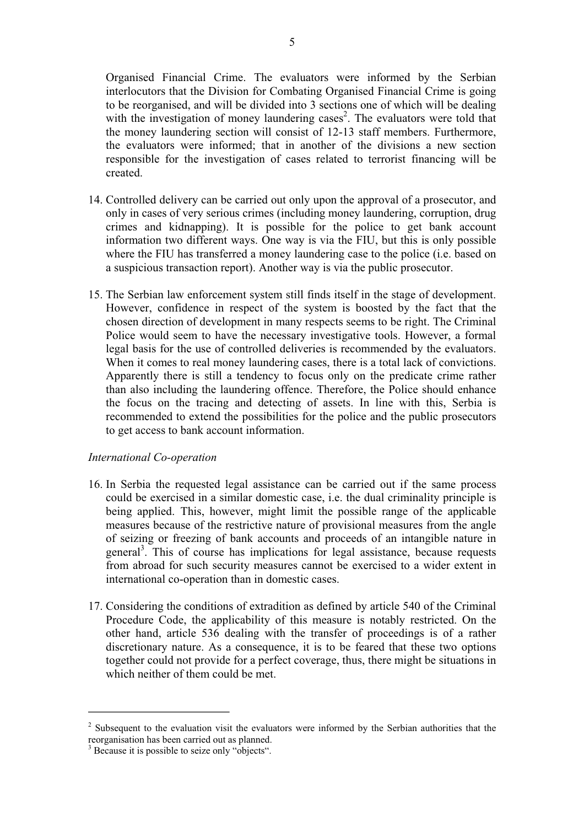Organised Financial Crime. The evaluators were informed by the Serbian interlocutors that the Division for Combating Organised Financial Crime is going to be reorganised, and will be divided into 3 sections one of which will be dealing with the investigation of money laundering cases 2 the money laundering section will consist of 12-13 staff members. Furthermore, the evaluators were informed; that in another of the divisions a new section responsible for the investigation of cases related to terrorist fi

- 14. Controlled delivery can be carried out only upon the approval of a prosecutor, and only in cases of very serious crimes (including money laundering, corruption, drug crimes and kidnapping). It is possible for the police to get bank account information two different ways. One way is via the FIU, but this is only possible where the FIU has transferred a money laundering case to the police (i.e. based on a suspicious transaction report). Another way is via the
- 15. The Serbian law enforcement system still finds itself in the stage of development. However, confidence in respect of the system is boosted by the fact that the chosen direction of development in many respects seems to be right. The Criminal Police would seem to have the necessary investigative tools. However, a formal legal basis for the use of controlled deliveries is recommended by the evaluators.<br>When it comes to real money laundering cases, there is a total lack of convictions.<br>Apparently there is still a tendency to focus only on t than also including the laundering offence. Therefore, the Police should enhance the focus on the tracing and detecting of assets. In line with this, Serbia is recommended to extend the possibilities for the police and the public prosecutors to get access to bank account information.

#### *International Co-operation*

- 16. In Serbia the requested legal assistance can be carried out if the same process could be exercised in a similar domestic case, i.e. the dual criminality principle is being applied. This, however, might limit the possible range of the applicable measures because of the restrictive nature of provisional measures from the angle of seizing or freezing of bank accounts and proceeds of an intangible nature in general<sup>3</sup>. This of course has implications for legal assist from abroad for such security measures cannot be exercised to a wider extent in international co-operation than in domestic cases.
- 17. Considering the conditions of extradition as defined by article 540 of the Criminal Procedure Code, the applicability of this measure is notably restricted. On the other hand, article 536 dealing with the transfer of proceedings is of a rather discretionary nature. As a consequence, it is to be feared that these two options together could not provide for a perfect coverage, thus, there might be situations in which neither of them could be met.

 $2^2$  Subsequent to the evaluation visit the evaluators were informed by the Serbian authorities that the reorganisation has been carried out as planned.

<sup>&</sup>lt;sup>3</sup> Because it is possible to seize only "objects".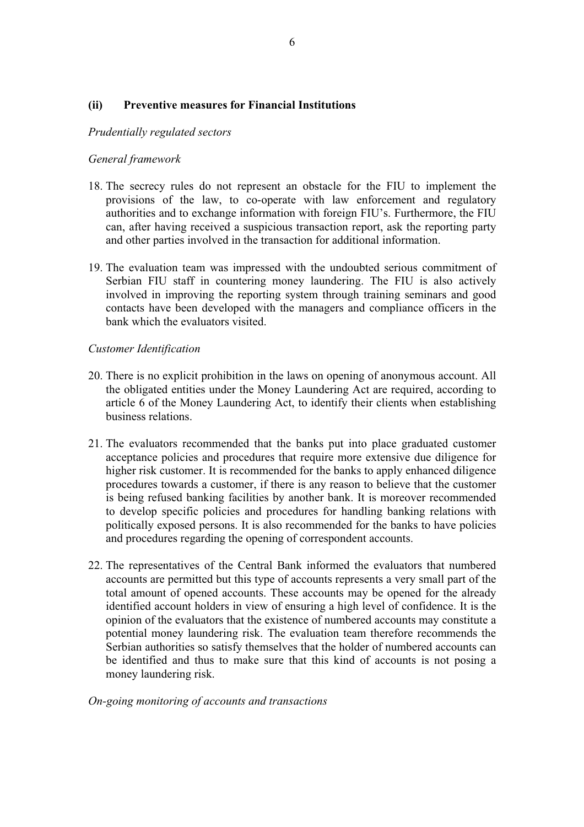#### **(ii) Preventive measures for Financial Institutions**

#### *Prudentially regulated sectors*

#### *General framework*

- 18. The secrecy rules do not represent an obstacle for the FIU to implement the provisions of the law, to co-operate with law enforcement and regulatory<br>authorities and to exchange information with foreign FIU's. Furthermore, the FIU<br>can, after having received a suspicious transaction report, ask the
- and other parties involved in the transaction for additional information.<br>
19. The evaluation team was impressed with the undoubted serious commitment of<br>
Serbian FIU staff in countering money laundering. The FIU is also a involved in improving the reporting system through training seminars and good contacts have been developed with the managers and compliance officers in the bank which the evaluators visited.

#### *Customer Identification*

- 20. There is no explicit prohibition in the laws on opening of anonymous account. All the obligated entities under the Money Laundering Act are required, according to article 6 of the Money Laundering Act, to identify their clients when establishing
- business relations.<br>21. The evaluators recommended that the banks put into place graduated customer acceptance policies and procedures that require more extensive due diligence for higher risk customer. It is recommended for the banks to apply enhanced diligence procedures towards a customer, if there is any reason to be is being refused banking facilities by another bank. It is moreover recommended to develop specific policies and procedures for handling banking relations with politically exposed persons. It is also recommended for the ba
- 22. The representatives of the Central Bank informed the evaluators that numbered accounts are permitted but this type of accounts represents a very small part of the total amount of opened accounts. These accounts may be opened for the already identified account holders in view of ensuring a high level of confidence. It is the opinion of the evaluators that the existence of numbered accounts may constitute a potential money laundering risk. The evaluation team therefore recommends the Serbian authorities so satisfy themselves that the holder of numbered accounts can be identified and thus to make sure that this kind of accounts is not posing a money laundering risk.

#### *On-going monitoring of accounts and transactions*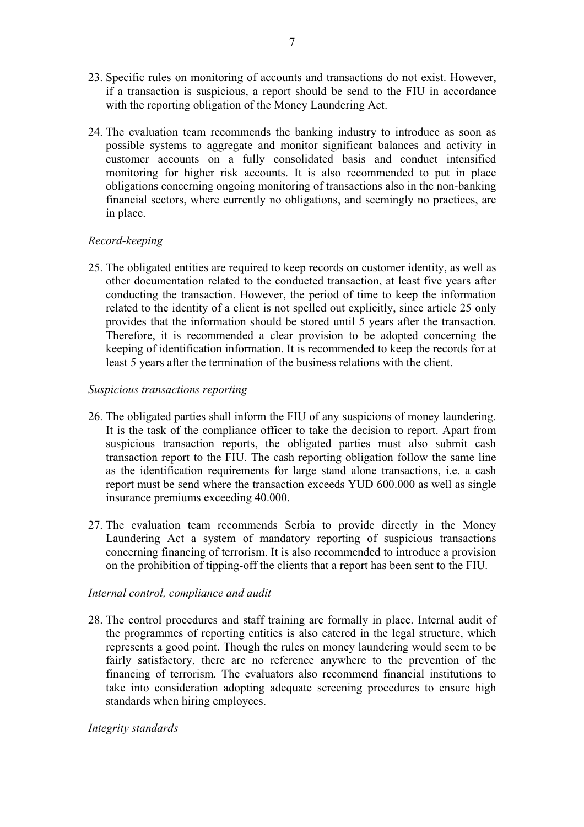- 23. Specific rules on monitoring of accounts and transactions do not exist. However, if a transaction is suspicious, a report should be send to the FIU in accordance with the reporting obligation of the Money Laundering Act.
- 24. The evaluation team recommends the banking industry to introduce as soon as possible systems to aggregate and monitor significant balances and activity in customer accounts on a fully consolidated basis and conduct intensified<br>monitoring for higher risk accounts. It is also recommended to put in place<br>obligations concerning ongoing monitoring of transactions also in the nonin place.

### *Record-keeping*

25. The obligated entities are required to keep records on customer identity, as well as other documentation related to the conducted transaction, at least five years after conducting the transaction. However, the period of time to keep the information<br>related to the identity of a client is not spelled out explicitly, since article 25 only<br>provides that the information should be stored until least 5 years after the termination of the business relations with the client.

#### *Suspicious transactions reporting*

- 26. The obligated parties shall inform the FIU of any suspicions of money laundering. It is the task of the compliance officer to take the decision to report. Apart from suspicious transaction reports, the obligated parties must also submit cash transaction report to the FIU. The cash reporting obligation follow the same line as the identification requirements for large stand alone transactions, i.e. a cash report must be send where the transaction exceeds YUD 600.000 as well as single
- insurance premiums exceeding 40.000. 27. The evaluation team recommends Serbia to provide directly in the Money Laundering Act a system of mandatory reporting of suspicious transactions concerning financing of terrorism. It is also recommended to introduce a provision on the prohibition of tipping-off the clients that a report has been sent to the FIU.

### *Internal control, compliance and audit*

28. The control procedures and staff training are formally in place. Internal audit of the programmes of reporting entities is also catered in the legal structure, which represents a good point. Though the rules on money laundering would seem to be fairly satisfactory, there are no reference anywhere to the prevention of the financing of terrorism. The evaluators also recommend financial institutions to take into consideration adopting adequate screening procedures t

#### *Integrity standards*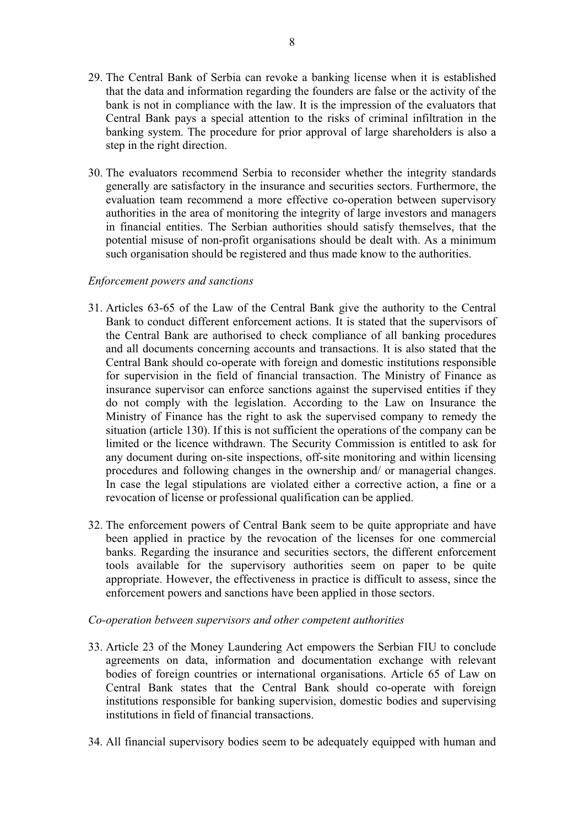- 29. The Central Bank of Serbia can revoke a banking license when it is established that the data and information regarding the founders are false or the activity of the bank is not in compliance with the law. It is the impression of the evaluators that Central Bank pays a special attention to the risks of criminal infiltration in the banking system. The procedure for prior approval of large shareholders is also a step in the right direction.
- 30. The evaluators recommend Serbia to reconsider whether the integrity standards generally are satisfactory in the insurance and securities sectors. Furthermore, the evaluation team recommend a more effective co-operation authorities in the area of monitoring the integrity of large investors and managers in financial entities. The Serbian authorities should satisfy themselves, that the potential misuse of non-profit organisations should be dealt with. As a minimum such organisation should be registered and thus made know to the authorities.

#### *Enforcement powers and sanctions*

- 31. Articles 63-65 of the Law of the Central Bank give the authority to the Central<br>Bank to conduct different enforcement actions. It is stated that the supervisors of<br>the Central Bank are authorised to check compliance of Central Bank should co-operate with foreign and domestic institutions responsible for supervision in the field of financial transaction. The Ministry of Finance as<br>insurance supervisor can enforce sanctions against the supervised entities if they<br>do not comply with the legislation. According to the Law limited or the licence withdrawn. The Security Commission is entitled to ask for any document during on-site inspections, off-site monitoring and within licensing procedures and following changes in the ownership and/ or managerial changes. In case the legal stipulations are violated either a corrective action, a fine or a revocation of license or professional qualification can be applied.
- 32. The enforcement powers of Central Bank seem to be quite appropriate and have been applied in practice by the revocation of the licenses for one commercial<br>banks. Regarding the insurance and securities sectors, the different enforcement<br>tools available for the supervisory authorities seem on paper t appropriate. However, the effectiveness in practice is difficult to assess, since the enforcement powers and sanctions have been applied in those sectors.

#### *Co-operation between supervisors and other competent authorities*

- 33. Article 23 of the Money Laundering Act empowers the Serbian FIU to conclude agreements on data, information and documentation exchange with relevant bodies of foreign countries or international organisations. Article 65 of Law on Central Bank states that the Central Bank should co-operate with foreign institutions responsible for banking supervision, domestic bodies an
- 34. All financial supervisory bodies seem to be adequately equipped with human and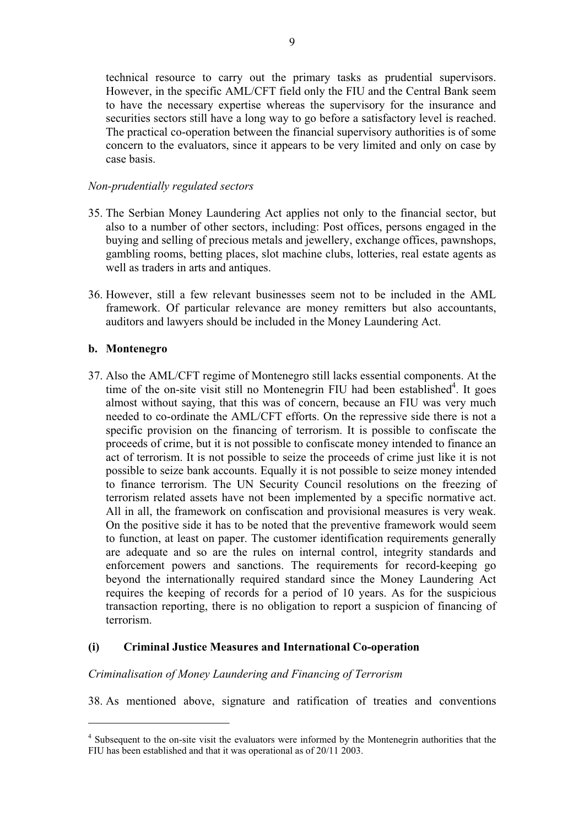technical resource to carry out the primary tasks as prudential supervisors. However, in the specific AML/CFT field only the FIU and the Central Bank seem to have the necessary expertise whereas the supervisory for the insurance and securities sectors still have a long way to go before a satisfactory level is reached.<br>The practical co-operation between the financial supervis case basis.

#### *Non-prudentially regulated sectors*

- 35. The Serbian Money Laundering Act applies not only to the financial sector, but also to a number of other sectors, including: Post offices, persons engaged in the buying and selling of precious metals and jewellery, exchange offices, pawnshops, gambling rooms, betting places, slot machine clubs, lotte
- 36. However, still a few relevant businesses seem not to be included in the AML framework. Of particular relevance are money remitters but also accountants, auditors and lawyers should be included in the Money Laundering Act.

#### **b. Montenegro**

37. Also the AML/CFT regime of Montenegro still lacks essential components. At the time of the on-site visit still no Montenegrin FIU had been established $4$ . It goes almost without saying, that this was of concern, because an FIU was very much<br>needed to co-ordinate the AML/CFT efforts. On the repressive side there is not a<br>specific provision on the financing of terrorism. It is possibl act of terrorism. It is not possible to seize the proceeds of crime just like it is not to finance terrorism. The UN Security Council resolutions on the freezing of terrorism related assets have not been implemented by a specific normative act.<br>All in all, the framework on confiscation and provisional measures is very weak.<br>On the positive side it has to be noted that the preventive f to function, at least on paper. The customer identification requirements generally are adequate and so are the rules on internal control, integrity standards and enforcement powers and sanctions. The requirements for record-keeping go beyond the internationally required standard since the Money Laundering Act requires the keeping of records for a period of 10 years. As for the susp transaction reporting, there is no obligation to report a suspicion of financing of terrorism.

#### **(i) Criminal Justice Measures and International Co-operation**

#### *Criminalisation of Money Laundering and Financing of Terrorism*

38. As mentioned above, signature and ratification of treaties and conventions

<sup>&</sup>lt;sup>4</sup> Subsequent to the on-site visit the evaluators were informed by the Montenegrin authorities that the FIU has been established and that it was operational as of 20/11 2003.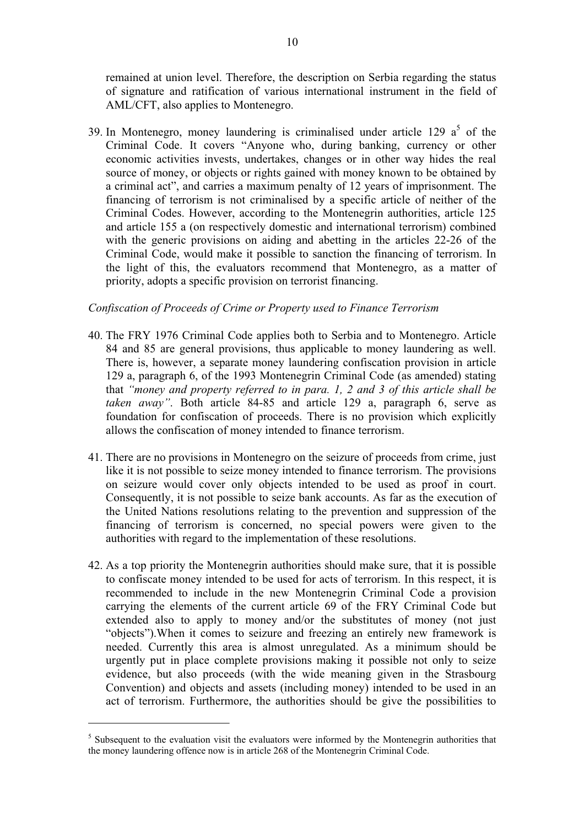remained at union level. Therefore, the description on Serbia regarding the status of signature and ratification of various international instrument in the field of AML/CFT, also applies to Montenegro.

39. In Montenegro, money laundering is criminalised under article 129  $a<sup>5</sup>$ Criminal Code. It covers "Anyone who, during banking, currency or other economic activities invests, undertakes, changes or in other way hides the real source of money, or objects or rights gained with money known to be obtained by<br>a criminal act", and carries a maximum penalty of 12 years of imprisonment. The<br>financing of terrorism is not criminalised by a specific artic Criminal Codes. However, according to the Montenegrin authorities, article 125 and article 155 a (on respectively domestic and international terrorism) combined with the generic provisions on aiding and abetting in the articles 22-26 of the Criminal Code, would make it possible to sanction the financing of terrorism. In the light of this, the evaluators recommend that Montenegro, as a matter of priority, adopts a specific provision on terrorist financing.

#### *Confiscation of Proceeds of Crime or Property used to Finance Terrorism*

- 40. The FRY 1976 Criminal Code applies both to Serbia and to Montenegro. Article 84 and 85 are general provisions, thus applicable to money laundering as well. There is, however, a separate money laundering confiscation provision in article 129 a, paragraph 6, of the 1993 Montenegrin Criminal Code (as amended) stating that "money and property referred to in para. 1, 2 and 3 of th foundation for confiscation of proceeds. There is no provision which explicitly allows the confiscation of money intended to finance terrorism.
- 41. There are no provisions in Montenegro on the seizure of proceeds from crime, just like it is not possible to seize money intended to finance terrorism. The provisions on seizure would cover only objects intended to be used as proof in court. Consequently, it is not possible to seize bank accounts. As far as the execution of the United Nations resolutions relating to the prevention and suppression of the financing of terrorism is concerned, no special powers were given to the authorities with regard to the implementation of these resolutions.
- 42. As a top priority the Montenegrin authorities should make sure, that it is possible to confiscate money intended to be used for acts of terrorism. In this respect, it is recommended to include in the new Montenegrin Criminal Code a provision carrying the elements of the current article 69 of the FRY Criminal Code but extended also to apply to money and/or the substitutes of money (not just "objects"). When it comes to seizure and freezing an entirely new framework is needed. Currently this area is almost unregulated. As a minimum should be urgently put in place complete provisions making it possible not only to seize<br>evidence, but also proceeds (with the wide meaning given in the Strasbourg<br>Convention) and objects and assets (including money) intended to be act of terrorism. Furthermore, the authorities should be give the possibilities to

<sup>&</sup>lt;sup>5</sup> Subsequent to the evaluation visit the evaluators were informed by the Montenegrin authorities that the money laundering offence now is in article 268 of the Montenegrin Criminal Code.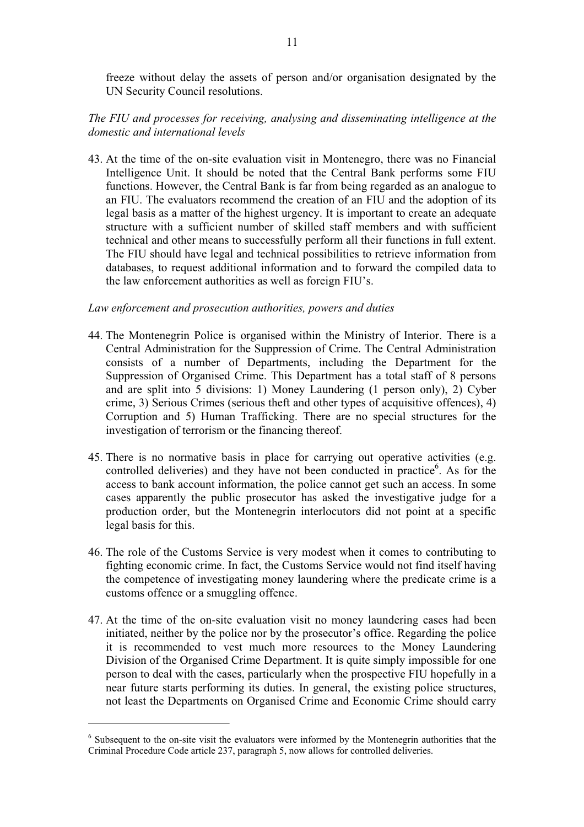freeze without delay the assets of person and/or organisation designated by the UN Security Council resolutions.

### *The FIU and processes for receiving, analysing and disseminating intelligence at the domestic and international levels*

43. At the time of the on-site evaluation visit in Montenegro, there was no Financial Intelligence Unit. It should be noted that the Central Bank performs some FIU functions. However, the Central Bank is far from being regarded as an analogue to an FIU. The evaluators recommend the creation of an FIU and the adoption of its legal basis as a matter of the highest urgency. It is important to create an adequate structure with a sufficient number of skilled staff members and with sufficient<br>technical and other means to successfully perform all their functions in full extent.<br>The FIU should have legal and technical possibilities to databases, to request additional information and to forward the compiled data to the law enforcement authorities as well as foreign FIU's.

#### *Law enforcement and prosecution authorities, powers and duties*

- 44. The Montenegrin Police is organised within the Ministry of Interior. There is a Central Administration for the Suppression of Crime. The Central Administration consists of a number of Departments, including the Departm and are split into 5 divisions: 1) Money Laundering (1 person only), 2) Cyber crime, 3) Serious Crimes (serious theft and other types of acquisitive offences), 4) Corruption and 5) Human Trafficking. There are no special structures for the investigation of terrorism or the financing thereof.
- 45. There is no normative basis in place for carrying out operative activities (e.g. controlled deliveries) and they have not been conducted in practice 6 . As for the access to bank account information, the police cannot get such an access. In some cases apparently the public prosecutor has asked the investigative judge for a production order, but the Montenegrin interlocutors did not point at a specific legal basis for this.
- 46. The role of the Customs Service is very modest when it comes to contributing to fighting economic crime. In fact, the Customs Service would not find itself having the competence of investigating money laundering where the predicate crime is a customs offence or a smuggling offence.
- 47. At the time of the on-site evaluation visit no money laundering cases had been initiated, neither by the police nor by the prosecutor's office. Regarding the police<br>it is recommended to vest much more resources to the Money Laundering<br>Division of the Organised Crime Department. It is quite simply imp

<sup>&</sup>lt;sup>6</sup> Subsequent to the on-site visit the evaluators were informed by the Montenegrin authorities that the Criminal Procedure Code article 237, paragraph 5, now allows for controlled deliveries.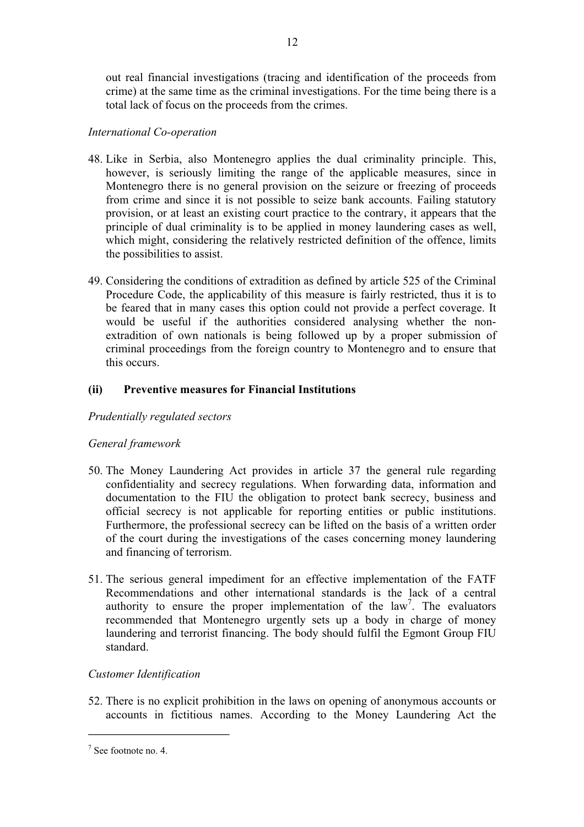out real financial investigations (tracing and identification of the proceeds from crime) at the same time as the criminal investigations. For the time being there is a total lack of focus on the proceeds from the crimes.

12

### *International Co-operation*

- 48. Like in Serbia, also Montenegro applies the dual criminality principle. This, however, is seriously limiting the range of the applicable measures, since in Montenegro there is no general provision on the seizure or freezing of proceeds from crime and since it is not possible to seize bank accounts. principle of dual criminality is to be applied in money laundering cases as well, which might, considering the relatively restricted definition of the offence, limits the possibilities to assist.
- 49. Considering the conditions of extradition as defined by article 525 of the Criminal Procedure Code, the applicability of this measure is fairly restricted, thus it is to be feared that in many cases this option could not provide a perfect coverage. It would be useful if the authorities considered analysin extradition of own nationals is being followed up by a proper submission of criminal proceedings from the foreign country to Montenegro and to ensure that this occurs.

### **(ii) Preventive measures for Financial Institutions**

#### *Prudentially regulated sectors*

#### *General framework*

- 50. The Money Laundering Act provides in article 37 the general rule regarding<br>confidentiality and secrecy regulations. When forwarding data, information and<br>documentation to the FIU the obligation to protect bank secrecy, of the court during the investigations of the cases concerning money laundering and financing of terrorism.
- 51. The serious general impediment for an effective implementation of the FATF Recommendations and other international standards is the lack of a central authority to ensure the proper implementation of the  $law<sup>7</sup>$ . Th recommended that Montenegro urgently sets up a body in charge of money laundering and terrorist financing. The body should fulfil the Egmont Group FIU standard.

### *Customer Identification*

52. There is no explicit prohibition in the laws on opening of anonymous accounts or accounts in fictitious names. According to the Money Laundering Act the

<sup>7</sup> See footnote no. 4.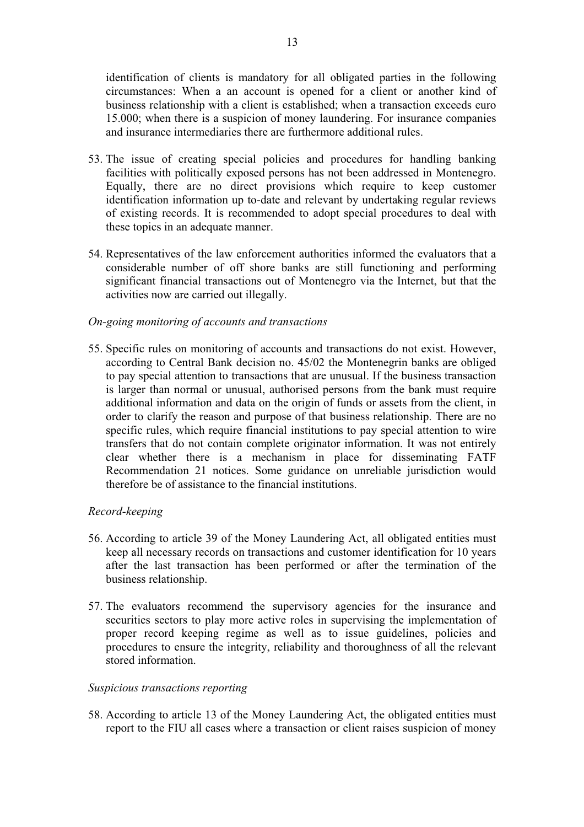identification of clients is mandatory for all obligated parties in the following circumstances: When a an account is opened for a client or another kind of business relationship with a client is established; when a transaction exceeds euro 15.000; when there is a suspicion of money laundering. For insurance companies and insurance intermediaries there are furthermore additional rules.

- 53. The issue of creating special policies and procedures for handling banking facilities with politically exposed persons has not been addressed in Montenegro.<br>Equally, there are no direct provisions which require to keep customer<br>identification information up to-date and relevant by undertaking reg of existing records. It is recommended to adopt special procedures to deal with these topics in an adequate manner.
- 54. Representatives of the law enforcement authorities informed the evaluators that a considerable number of off shore banks are still functioning and performing significant financial transactions out of Montenegro via the Internet, but that the activities now are carried out illegally.

#### *On-going monitoring of accounts and transactions*

55. Specific rules on monitoring of accounts and transactions do not exist. However, according to Central Bank decision no. 45/02 the Montenegrin banks are obliged to pay special attention to transactions that are unusual. If the business transaction is larger than normal or unusual, authorised persons from the bank must require additional information and data on the origin of funds or assets from the client, in order to clarify the reason and purpose of that business relationship. There are no specific rules, which require financial institutions to pay special attention to wire transfers that do not contain complete originator in clear whether there is a mechanism in place for disseminating FATF Recommendation 21 notices. Some guidance on unreliable jurisdiction would therefore be of assistance to the financial institutions.

#### *Record-keeping*

- 56. According to article 39 of the Money Laundering Act, all obligated entities must keep all necessary records on transactions and customer identification for 10 years after the last transaction has been performed or after the termination of the business relationship.
- 57. The evaluators recommend the supervisory agencies for the insurance and securities sectors to play more active roles in supervising the implementation of proper record keeping regime as well as to issue guidelines, policies and procedures to ensure the integrity, reliability and thoroughness of all the relevant stored information.

#### *Suspicious transactions reporting*

58. According to article 13 of the Money Laundering Act, the obligated entities must report to the FIU all cases where a transaction or client raises suspicion of money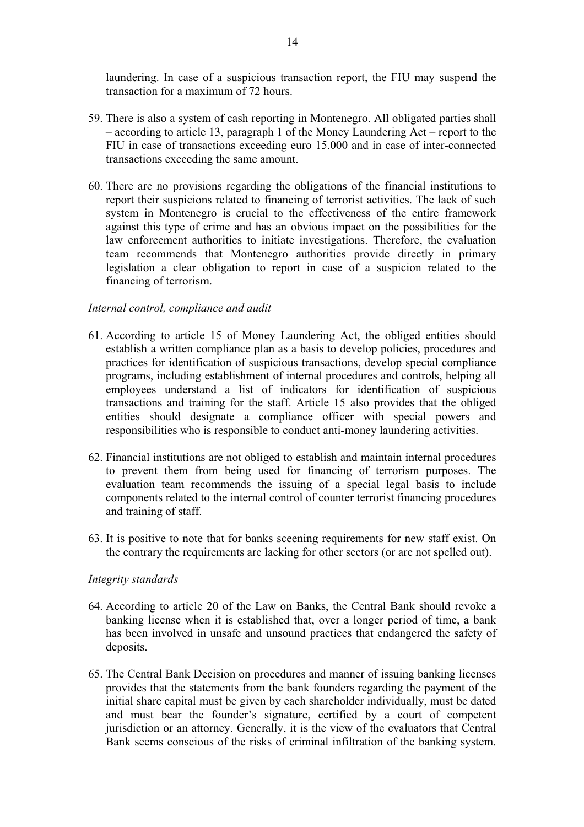laundering. In case of a suspicious transaction report, the FIU may suspend the transaction for a maximum of 72 hours.

- 59. There is also a system of cash reporting in Montenegro. All obligated parties shall – according to article 13, paragraph 1 of the Money Laundering Act – report to the FIU in case of transactions exceeding euro 15.000 and in case of inter-connected transactions exceeding the same amount.
- 60. There are no provisions regarding the obligations of the financial institutions to report their suspicions related to financing of terrorist activities. The lack of such system in Montenegro is crucial to the effective financing of terrorism.

#### *Internal control, compliance and audit*

- 61. According to article 15 of Money Laundering Act, the obliged entities should establish a written compliance plan as a basis to develop policies, procedures and practices for identification of suspicious transactions, d entities should designate a compliance officer with special powers and responsibilities who is responsible to conduct anti-money laundering activities.
- 62. Financial institutions are not obliged to establish and maintain internal procedures to prevent them from being used for financing of terrorism purposes. The evaluation team recommends the issuing of a special legal basis to include components related to the internal control of counter terrorist financing procedures and training of staff.
- 63. It is positive to note that for banks sceening requirements for new staff exist. On the contrary the requirements are lacking for other sectors (or are not spelled out).

#### *Integrity standards*

- 64. According to article 20 of the Law on Banks, the Central Bank should revoke a banking license when it is established that, over a longer period of time, a bank has been involved in unsafe and unsound practices that endangered the safety of deposits.
- 65. The Central Bank Decision on procedures and manner of issuing banking licenses provides that the statements from the bank founders regarding the payment of the initial share capital must be given by each shareholder individually, must be dated and must bear the founder's signature, certified by a court of competent jurisdiction or an attorney. Generally, it is the view of the evaluators that Central Bank seems conscious of the risks of criminal infiltration of the banking system.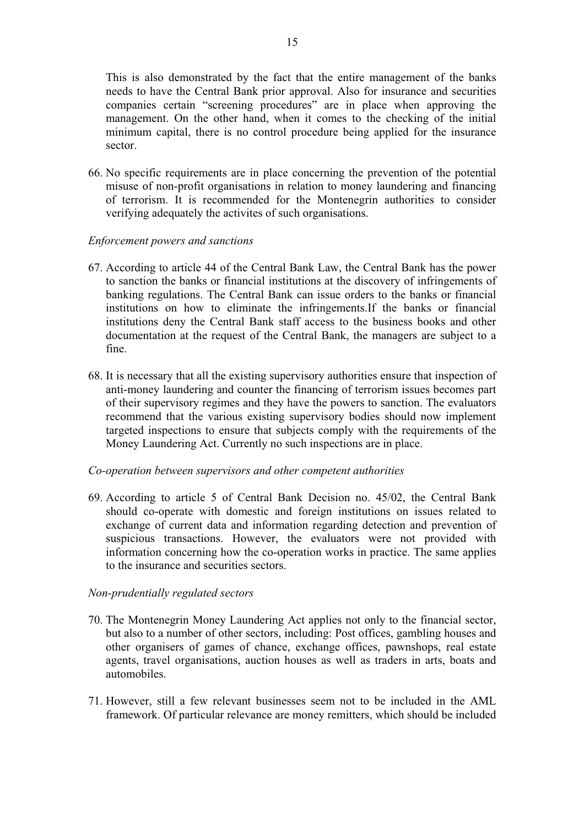This is also demonstrated by the fact that the entire management of the banks needs to have the Central Bank prior approval. Also for insurance and securities companies certain "screening procedures" are in place when approving the management. On the other hand, when it comes to the checking of the minimum capital, there is no control procedure being applied for the insurance sector.

66. No specific requirements are in place concerning the prevention of the potential misuse of non-profit organisations in relation to money laundering and financing of terrorism. It is recommended for the Montenegrin authorities to consider verifying adequately the activites of such organisations.

#### *Enforcement powers and sanctions*

- 67. According to article 44 of the Central Bank Law, the Central Bank has the power to sanction the banks or financial institutions at the discovery of infringements of banking regulations. The Central Bank can issue orders to the banks or financial institutions on how to eliminate the infringements. If the banks or financial institutions deny the Central Bank staff access to the business
- 68. It is necessary that all the existing supervisory authorities ensure that inspection of anti-money laundering and counter the financing of terrorism issues becomes part of their supervisory regimes and they have the powers to sanction. The evaluators recommend that the various existing supervisory bodies should now implement targeted inspections to ensure that subjects comply with the requirements of the Money Laundering Act. Currently no such inspections are in place.

#### *Co-operation between supervisors and other competent authorities*

69. According to article 5 of Central Bank Decision no. 45/02, the Central Bank should co-operate with domestic and foreign institutions on issues related to exchange of current data and information regarding detection and prevention of suspicious transactions. However, the evaluators were not provided with information concerning how the co-operation works in practice. The same applies to the insurance and securities sectors.

#### *Non-prudentially regulated sectors*

- 70. The Montenegrin Money Laundering Act applies not only to the financial sector, but also to a number of other sectors, including: Post offices, gambling houses and other organisers of games of chance, exchange offices,
- 71. However, still a few relevant businesses seem not to be included in the AML framework. Of particular relevance are money remitters, which should be included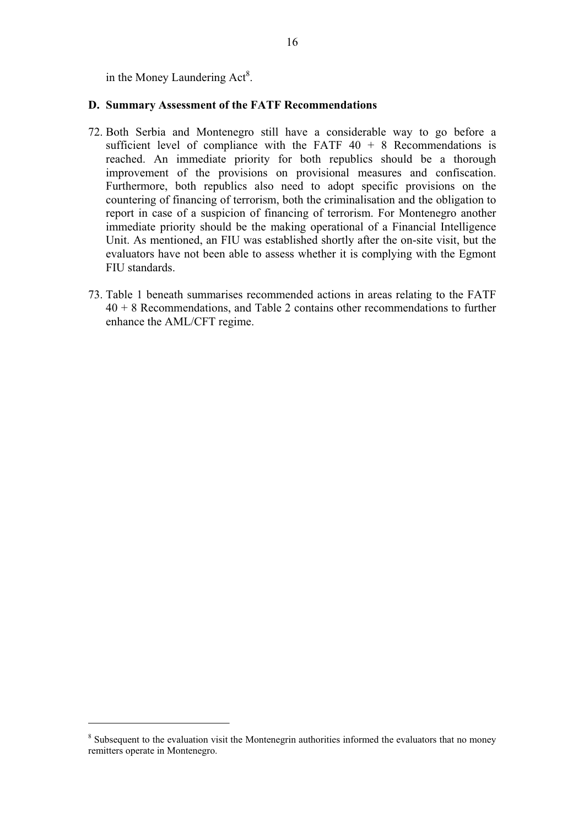in the Money Laundering  $Act^8$ .

#### **D. Summary Assessment of the FATF Recommendations**

- 72. Both Serbia and Montenegro still have a considerable way to go before a sufficient level of compliance with the FATF  $40 + 8$  Recommendations is reached. An immediate priority for both republics should be a thorough improvement of the provisions on provisional measures and confiscation. Furthermore, both republics also need to adopt specific provisions on the countering of financing of terrorism, both the criminalisation and the obligation to report in case of a suspicion of financing of terrorism. For Montenegro another<br>immediate priority should be the making operational of a Financial Intelligence<br>Unit. As mentioned, an FIU was established shortly after the o evaluators have not been able to assess whether it is complying with the Egmont
- FIU standards.<br>
73. Table 1 beneath summarises recommended actions in areas relating to the FATF<br>
40 + 8 Recommendations, and Table 2 contains other recommendations to further enhance the AML/CFT regime.

<sup>&</sup>lt;sup>8</sup> Subsequent to the evaluation visit the Montenegrin authorities informed the evaluators that no money remitters operate in Montenegro.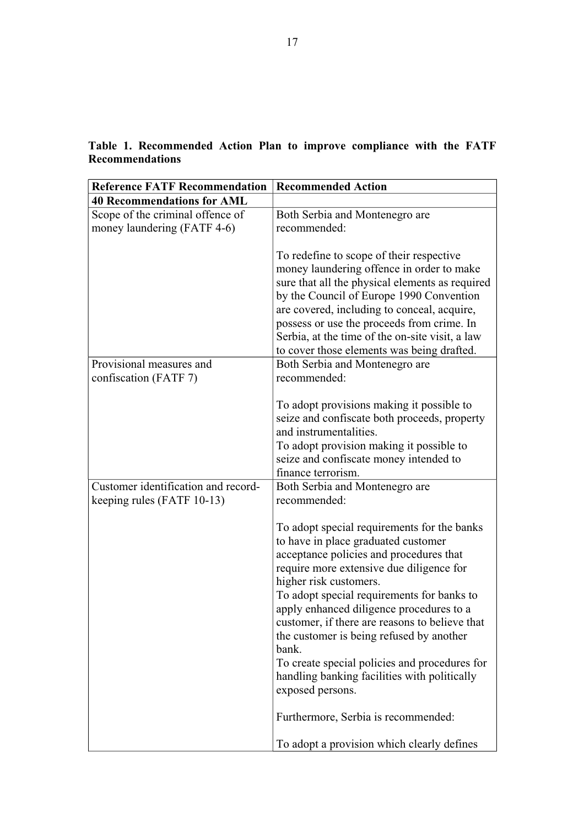| <b>Reference FATF Recommendation</b>                              | <b>Recommended Action</b>                                                                                                                                                                                                                                                                                                                                                                                                                                                                                                                                        |
|-------------------------------------------------------------------|------------------------------------------------------------------------------------------------------------------------------------------------------------------------------------------------------------------------------------------------------------------------------------------------------------------------------------------------------------------------------------------------------------------------------------------------------------------------------------------------------------------------------------------------------------------|
| <b>40 Recommendations for AML</b>                                 |                                                                                                                                                                                                                                                                                                                                                                                                                                                                                                                                                                  |
| Scope of the criminal offence of<br>money laundering (FATF 4-6)   | Both Serbia and Montenegro are<br>recommended:                                                                                                                                                                                                                                                                                                                                                                                                                                                                                                                   |
|                                                                   | To redefine to scope of their respective<br>money laundering offence in order to make<br>sure that all the physical elements as required<br>by the Council of Europe 1990 Convention<br>are covered, including to conceal, acquire,<br>possess or use the proceeds from crime. In<br>Serbia, at the time of the on-site visit, a law<br>to cover those elements was being drafted.                                                                                                                                                                               |
| Provisional measures and<br>confiscation (FATF 7)                 | Both Serbia and Montenegro are<br>recommended:                                                                                                                                                                                                                                                                                                                                                                                                                                                                                                                   |
|                                                                   | To adopt provisions making it possible to<br>seize and confiscate both proceeds, property<br>and instrumentalities.<br>To adopt provision making it possible to<br>seize and confiscate money intended to<br>finance terrorism.                                                                                                                                                                                                                                                                                                                                  |
| Customer identification and record-<br>keeping rules (FATF 10-13) | Both Serbia and Montenegro are<br>recommended:                                                                                                                                                                                                                                                                                                                                                                                                                                                                                                                   |
|                                                                   | To adopt special requirements for the banks<br>to have in place graduated customer<br>acceptance policies and procedures that<br>require more extensive due diligence for<br>higher risk customers.<br>To adopt special requirements for banks to<br>apply enhanced diligence procedures to a<br>customer, if there are reasons to believe that<br>the customer is being refused by another<br>bank.<br>To create special policies and procedures for<br>handling banking facilities with politically<br>exposed persons.<br>Furthermore, Serbia is recommended: |
|                                                                   | To adopt a provision which clearly defines                                                                                                                                                                                                                                                                                                                                                                                                                                                                                                                       |

## **Table 1. Recommended Action Plan to improve compliance with the FATF Recommendations**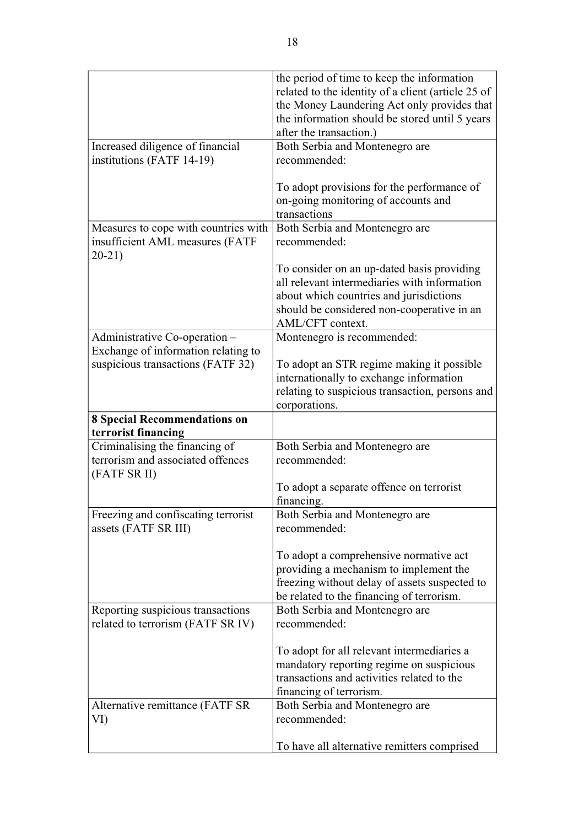|                                                            | the period of time to keep the information<br>related to the identity of a client (article 25 of  |
|------------------------------------------------------------|---------------------------------------------------------------------------------------------------|
|                                                            | the Money Laundering Act only provides that<br>the information should be stored until 5 years     |
|                                                            | after the transaction.)                                                                           |
| Increased diligence of financial                           | Both Serbia and Montenegro are                                                                    |
| institutions (FATF 14-19)                                  | recommended:                                                                                      |
|                                                            | To adopt provisions for the performance of<br>on-going monitoring of accounts and<br>transactions |
| Measures to cope with countries with                       | Both Serbia and Montenegro are                                                                    |
| insufficient AML measures (FATF<br>$20-21)$                | recommended:                                                                                      |
|                                                            | To consider on an up-dated basis providing                                                        |
|                                                            | all relevant intermediaries with information                                                      |
|                                                            | about which countries and jurisdictions                                                           |
|                                                            | should be considered non-cooperative in an                                                        |
|                                                            | AML/CFT context.                                                                                  |
| Administrative Co-operation -                              | Montenegro is recommended:                                                                        |
| Exchange of information relating to                        |                                                                                                   |
| suspicious transactions (FATF 32)                          | To adopt an STR regime making it possible                                                         |
|                                                            | internationally to exchange information                                                           |
|                                                            | relating to suspicious transaction, persons and<br>corporations.                                  |
|                                                            |                                                                                                   |
|                                                            |                                                                                                   |
| <b>8 Special Recommendations on</b><br>terrorist financing |                                                                                                   |
| Criminalising the financing of                             | Both Serbia and Montenegro are                                                                    |
| terrorism and associated offences<br>(FATF SR II)          | recommended:                                                                                      |
|                                                            | To adopt a separate offence on terrorist<br>financing.                                            |
| Freezing and confiscating terrorist                        | Both Serbia and Montenegro are                                                                    |
| assets (FATF SR III)                                       | recommended:                                                                                      |
|                                                            | To adopt a comprehensive normative act                                                            |
|                                                            | providing a mechanism to implement the                                                            |
|                                                            | freezing without delay of assets suspected to                                                     |
|                                                            | be related to the financing of terrorism.                                                         |
| Reporting suspicious transactions                          | Both Serbia and Montenegro are                                                                    |
| related to terrorism (FATF SR IV)                          | recommended:                                                                                      |
|                                                            | To adopt for all relevant intermediaries a                                                        |
|                                                            | mandatory reporting regime on suspicious                                                          |
|                                                            | transactions and activities related to the                                                        |
|                                                            | financing of terrorism.                                                                           |
| Alternative remittance (FATF SR                            | Both Serbia and Montenegro are                                                                    |
| VI)                                                        | recommended:                                                                                      |